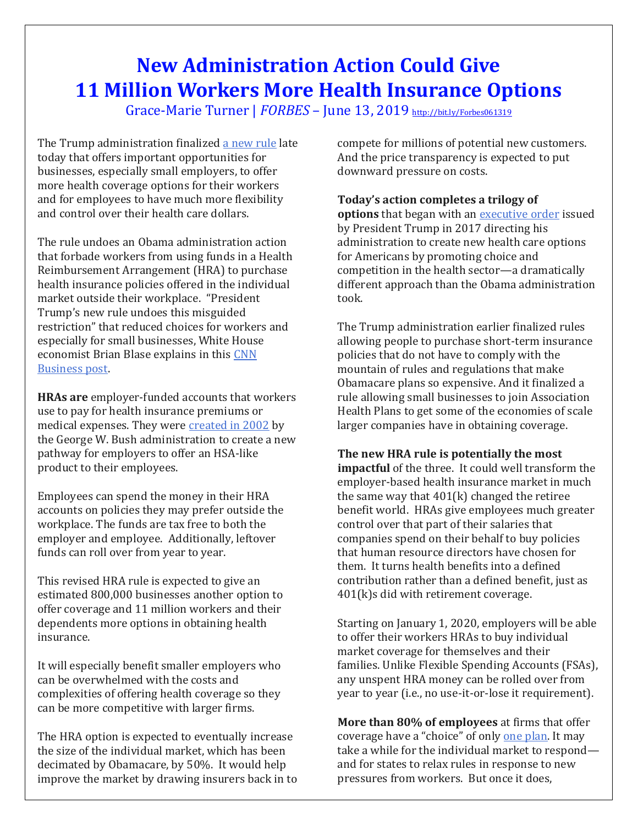## **New Administration Action Could Give 11 Million Workers More Health Insurance Options**

Grace-Marie Turner | *FORBES* – June 13, 2019 <http://bit.ly/Forbes061319>

The Trump administration finalized [a new rule](https://www.hhs.gov/about/news/2019/06/13/hhs-labor-treasury-expand-access-quality-affordable-health-coverage.html) late today that offers important opportunities for businesses, especially small employers, to offer more health coverage options for their workers and for employees to have much more flexibility and control over their health care dollars.

The rule undoes an Obama administration action that forbade workers from using funds in a Health Reimbursement Arrangement (HRA) to purchase health insurance policies offered in the individual market outside their workplace. "President Trump's new rule undoes this misguided restriction" that reduced choices for workers and especially for small businesses, White House economist Brian Blase explains in this [CNN](https://www.cnn.com/2019/06/13/perspectives/hra-health-care-business-trump/index.html)  [Business post.](https://www.cnn.com/2019/06/13/perspectives/hra-health-care-business-trump/index.html)

**HRAs are** employer-funded accounts that workers use to pay for health insurance premiums or medical expenses. They were [created in 2002](https://www.peoplekeep.com/blog/bid/143498/history-of-health-reimbursement-arrangements-hras) by the George W. Bush administration to create a new pathway for employers to offer an HSA-like product to their employees.

Employees can spend the money in their HRA accounts on policies they may prefer outside the workplace. The funds are tax free to both the employer and employee. Additionally, leftover funds can roll over from year to year.

This revised HRA rule is expected to give an estimated 800,000 businesses another option to offer coverage and 11 million workers and their dependents more options in obtaining health insurance.

It will especially benefit smaller employers who can be overwhelmed with the costs and complexities of offering health coverage so they can be more competitive with larger firms.

The HRA option is expected to eventually increase the size of the individual market, which has been decimated by Obamacare, by 50%. It would help improve the market by drawing insurers back in to compete for millions of potential new customers. And the price transparency is expected to put downward pressure on costs.

## **Today's action completes a trilogy of**

**options** that began with an [executive order](https://www.whitehouse.gov/presidential-actions/presidential-executive-order-promoting-healthcare-choice-competition-across-united-states/) issued by President Trump in 2017 directing his administration to create new health care options for Americans by promoting choice and competition in the health sector—a dramatically different approach than the Obama administration took.

The Trump administration earlier finalized rules allowing people to purchase short-term insurance policies that do not have to comply with the mountain of rules and regulations that make Obamacare plans so expensive. And it finalized a rule allowing small businesses to join Association Health Plans to get some of the economies of scale larger companies have in obtaining coverage.

## **The new HRA rule is potentially the most**

**impactful** of the three. It could well transform the employer-based health insurance market in much the same way that 401(k) changed the retiree benefit world. HRAs give employees much greater control over that part of their salaries that companies spend on their behalf to buy policies that human resource directors have chosen for them. It turns health benefits into a defined contribution rather than a defined benefit, just as 401(k)s did with retirement coverage.

Starting on January 1, 2020, employers will be able to offer their workers HRAs to buy individual market coverage for themselves and their families. Unlike Flexible Spending Accounts (FSAs), any unspent HRA money can be rolled over from year to year (i.e., no use-it-or-lose it requirement).

**More than 80% of employees** at firms that offer coverage have a "choice" of only [one plan.](http://files.kff.org/attachment/Report-Employer-Health-Benefits-Annual-Survey-2018) It may take a while for the individual market to respond and for states to relax rules in response to new pressures from workers. But once it does,